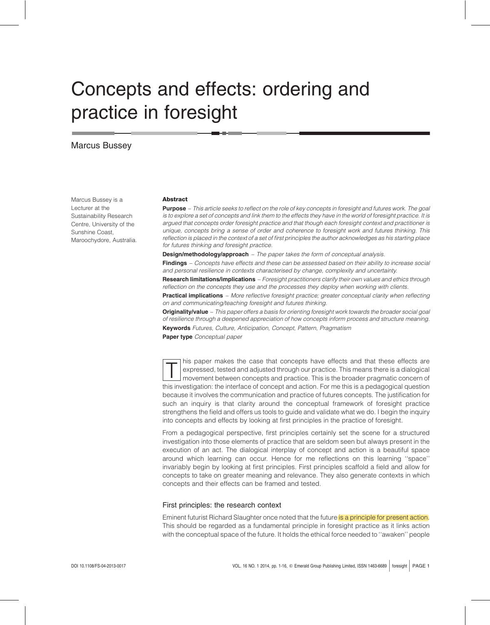# Concepts and effects: ordering and practice in foresight

# Marcus Bussey

Marcus Bussey is a Lecturer at the Sustainability Research Centre, University of the Sunshine Coast, Maroochydore, Australia.

#### **Ahetract**

**Purpose** – This article seeks to reflect on the role of key concepts in foresight and futures work. The goal is to explore a set of concepts and link them to the effects they have in the world of foresight practice. It is argued that concepts order foresight practice and that though each foresight context and practitioner is unique, concepts bring a sense of order and coherence to foresight work and futures thinking. This reflection is placed in the context of a set of first principles the author acknowledges as his starting place for futures thinking and foresight practice.

**Design/methodology/approach** – The paper takes the form of conceptual analysis.

Findings - Concepts have effects and these can be assessed based on their ability to increase social and personal resilience in contexts characterised by change, complexity and uncertainty.

Research limitations/implications – Foresight practitioners clarify their own values and ethics through reflection on the concepts they use and the processes they deploy when working with clients.

**Practical implications** – More reflective foresight practice; greater conceptual clarity when reflecting on and communicating/teaching foresight and futures thinking.

Originality/value – This paper offers a basis for orienting foresight work towards the broader social goal of resilience through a deepened appreciation of how concepts inform process and structure meaning. Keywords Futures, Culture, Anticipation, Concept, Pattern, Pragmatism Paper type Conceptual paper

T his paper makes the case that concepts have effects and that these effects are<br>expressed, tested and adjusted through our practice. This means there is a dialogical<br>movement between concepts and practice. This is the bro expressed, tested and adjusted through our practice. This means there is a dialogical this investigation: the interface of concept and action. For me this is a pedagogical question because it involves the communication and practice of futures concepts. The justification for such an inquiry is that clarity around the conceptual framework of foresight practice strengthens the field and offers us tools to guide and validate what we do. I begin the inquiry into concepts and effects by looking at first principles in the practice of foresight.

From a pedagogical perspective, first principles certainly set the scene for a structured investigation into those elements of practice that are seldom seen but always present in the execution of an act. The dialogical interplay of concept and action is a beautiful space around which learning can occur. Hence for me reflections on this learning ''space'' invariably begin by looking at first principles. First principles scaffold a field and allow for concepts to take on greater meaning and relevance. They also generate contexts in which concepts and their effects can be framed and tested.

### First principles: the research context

Eminent futurist Richard Slaughter once noted that the future is a principle for present action. This should be regarded as a fundamental principle in foresight practice as it links action with the conceptual space of the future. It holds the ethical force needed to ''awaken'' people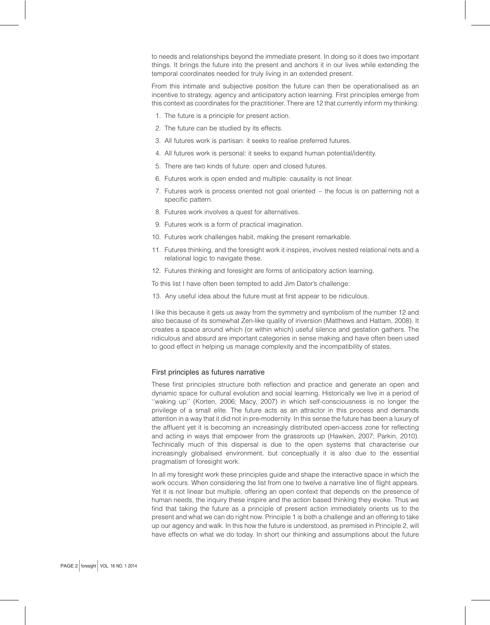to needs and relationships beyond the immediate present. In doing so it does two important things. It brings the future into the present and anchors it in our lives while extending the temporal coordinates needed for truly living in an extended present.

From this intimate and subjective position the future can then be operationalised as an incentive to strategy, agency and anticipatory action learning. First principles emerge from this context as coordinates for the practitioner. There are 12 that currently inform my thinking:

- 1. The future is a principle for present action.
- 2. The future can be studied by its effects.
- 3. All futures work is partisan: it seeks to realise preferred futures.
- 4. All futures work is personal: it seeks to expand human potential/identity.
- 5. There are two kinds of future: open and closed futures.
- 6. Futures work is open ended and multiple: causality is not linear.
- 7. Futures work is process oriented not goal oriented the focus is on patterning not a specific pattern.
- 8. Futures work involves a quest for alternatives.
- 9. Futures work is a form of practical imagination.
- 10. Futures work challenges habit, making the present remarkable.
- 11. Futures thinking, and the foresight work it inspires, involves nested relational nets and a relational logic to navigate these.
- 12. Futures thinking and foresight are forms of anticipatory action learning.

To this list I have often been tempted to add Jim Dator's challenge:

13. Any useful idea about the future must at first appear to be ridiculous.

I like this because it gets us away from the symmetry and symbolism of the number 12 and also because of its somewhat Zen-like quality of inversion (Matthews and Hattam, 2008). It creates a space around which (or within which) useful silence and gestation gathers. The ridiculous and absurd are important categories in sense making and have often been used to good effect in helping us manage complexity and the incompatibility of states.

### First principles as futures narrative

These first principles structure both reflection and practice and generate an open and dynamic space for cultural evolution and social learning. Historically we live in a period of ''waking up'' (Korten, 2006; Macy, 2007) in which self-consciousness is no longer the privilege of a small elite. The future acts as an attractor in this process and demands attention in a way that it did not in pre-modernity. In this sense the future has been a luxury of the affluent yet it is becoming an increasingly distributed open-access zone for reflecting and acting in ways that empower from the grassroots up (Hawken, 2007; Parkin, 2010). Technically much of this dispersal is due to the open systems that characterise our increasingly globalised environment, but conceptually it is also due to the essential pragmatism of foresight work.

In all my foresight work these principles guide and shape the interactive space in which the work occurs. When considering the list from one to twelve a narrative line of flight appears. Yet it is not linear but multiple, offering an open context that depends on the presence of human needs, the inquiry these inspire and the action based thinking they evoke. Thus we find that taking the future as a principle of present action immediately orients us to the present and what we can do right now. Principle 1 is both a challenge and an offering to take up our agency and walk. In this how the future is understood, as premised in Principle 2, will have effects on what we do today. In short our thinking and assumptions about the future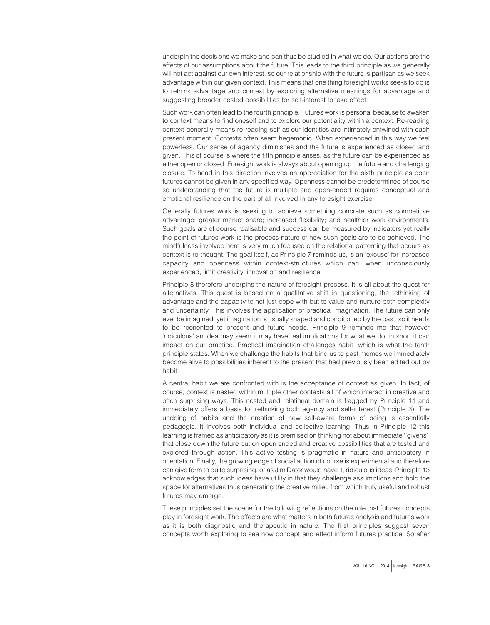underpin the decisions we make and can thus be studied in what we do. Our actions are the effects of our assumptions about the future. This leads to the third principle as we generally will not act against our own interest, so our relationship with the future is partisan as we seek advantage within our given context. This means that one thing foresight works seeks to do is to rethink advantage and context by exploring alternative meanings for advantage and suggesting broader nested possibilities for self-interest to take effect.

Such work can often lead to the fourth principle. Futures work is personal because to awaken to context means to find oneself and to explore our potentiality within a context. Re-reading context generally means re-reading self as our identities are intimately entwined with each present moment. Contexts often seem hegemonic. When experienced in this way we feel powerless. Our sense of agency diminishes and the future is experienced as closed and given. This of course is where the fifth principle arises, as the future can be experienced as either open or closed. Foresight work is always about opening up the future and challenging closure. To head in this direction involves an appreciation for the sixth principle as open futures cannot be given in any specified way. Openness cannot be predetermined of course so understanding that the future is multiple and open-ended requires conceptual and emotional resilience on the part of all involved in any foresight exercise.

Generally futures work is seeking to achieve something concrete such as competitive advantage; greater market share; increased flexibility; and healthier work environments. Such goals are of course realisable and success can be measured by indicators yet really the point of futures work is the process nature of how such goals are to be achieved. The mindfulness involved here is very much focused on the relational patterning that occurs as context is re-thought. The goal itself, as Principle 7 reminds us, is an 'excuse' for increased capacity and openness within context-structures which can, when unconsciously experienced, limit creativity, innovation and resilience.

Principle 8 therefore underpins the nature of foresight process. It is all about the quest for alternatives. This quest is based on a qualitative shift in questioning, the rethinking of advantage and the capacity to not just cope with but to value and nurture both complexity and uncertainty. This involves the application of practical imagination. The future can only ever be imagined, yet imagination is usually shaped and conditioned by the past, so it needs to be reoriented to present and future needs. Principle 9 reminds me that however 'ridiculous' an idea may seem it may have real implications for what we do: in short it can impact on our practice. Practical imagination challenges habit, which is what the tenth principle states. When we challenge the habits that bind us to past memes we immediately become alive to possibilities inherent to the present that had previously been edited out by habit.

A central habit we are confronted with is the acceptance of context as given. In fact, of course, context is nested within multiple other contexts all of which interact in creative and often surprising ways. This nested and relational domain is flagged by Principle 11 and immediately offers a basis for rethinking both agency and self-interest (Principle 3). The undoing of habits and the creation of new self-aware forms of being is essentially pedagogic. It involves both individual and collective learning. Thus in Principle 12 this learning is framed as anticipatory as it is premised on thinking not about immediate ''givens'' that close down the future but on open ended and creative possibilities that are tested and explored through action. This active testing is pragmatic in nature and anticipatory in orientation. Finally, the growing edge of social action of course is experimental and therefore can give form to quite surprising, or as Jim Dator would have it, ridiculous ideas. Principle 13 acknowledges that such ideas have utility in that they challenge assumptions and hold the space for alternatives thus generating the creative milieu from which truly useful and robust futures may emerge.

These principles set the scene for the following reflections on the role that futures concepts play in foresight work. The effects are what matters in both futures analysis and futures work as it is both diagnostic and therapeutic in nature. The first principles suggest seven concepts worth exploring to see how concept and effect inform futures practice. So after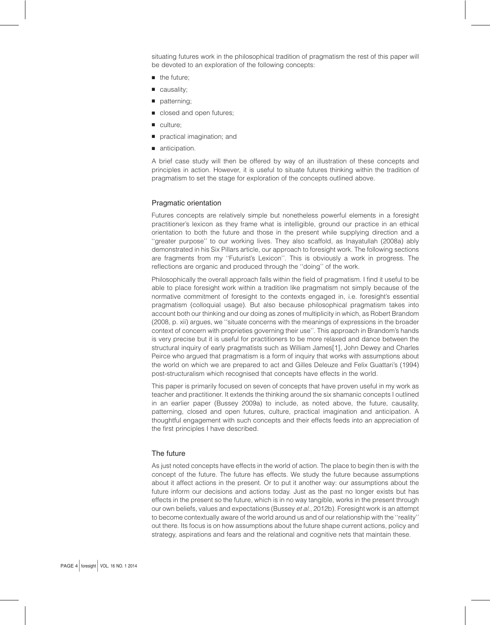situating futures work in the philosophical tradition of pragmatism the rest of this paper will be devoted to an exploration of the following concepts:

- $\blacksquare$  the future;
- $\Box$  causality;
- $\blacksquare$  patterning;
- closed and open futures;
- culture:
- **practical imagination; and**
- anticipation.

A brief case study will then be offered by way of an illustration of these concepts and principles in action. However, it is useful to situate futures thinking within the tradition of pragmatism to set the stage for exploration of the concepts outlined above.

### Pragmatic orientation

Futures concepts are relatively simple but nonetheless powerful elements in a foresight practitioner's lexicon as they frame what is intelligible, ground our practice in an ethical orientation to both the future and those in the present while supplying direction and a ''greater purpose'' to our working lives. They also scaffold, as Inayatullah (2008a) ably demonstrated in his Six Pillars article, our approach to foresight work. The following sections are fragments from my ''Futurist's Lexicon''. This is obviously a work in progress. The reflections are organic and produced through the ''doing'' of the work.

Philosophically the overall approach falls within the field of pragmatism. I find it useful to be able to place foresight work within a tradition like pragmatism not simply because of the normative commitment of foresight to the contexts engaged in, i.e. foresight's essential pragmatism (colloquial usage). But also because philosophical pragmatism takes into account both our thinking and our doing as zones of multiplicity in which, as Robert Brandom (2008, p. xii) argues, we ''situate concerns with the meanings of expressions in the broader context of concern with proprieties governing their use''. This approach in Brandom's hands is very precise but it is useful for practitioners to be more relaxed and dance between the structural inquiry of early pragmatists such as William James[1], John Dewey and Charles Peirce who argued that pragmatism is a form of inquiry that works with assumptions about the world on which we are prepared to act and Gilles Deleuze and Felix Guattari's (1994) post-structuralism which recognised that concepts have effects in the world.

This paper is primarily focused on seven of concepts that have proven useful in my work as teacher and practitioner. It extends the thinking around the six shamanic concepts I outlined in an earlier paper (Bussey 2009a) to include, as noted above, the future, causality, patterning, closed and open futures, culture, practical imagination and anticipation. A thoughtful engagement with such concepts and their effects feeds into an appreciation of the first principles I have described.

### The future

As just noted concepts have effects in the world of action. The place to begin then is with the concept of the future. The future has effects. We study the future because assumptions about it affect actions in the present. Or to put it another way: our assumptions about the future inform our decisions and actions today. Just as the past no longer exists but has effects in the present so the future, which is in no way tangible, works in the present through our own beliefs, values and expectations (Bussey et al., 2012b). Foresight work is an attempt to become contextually aware of the world around us and of our relationship with the ''reality'' out there. Its focus is on how assumptions about the future shape current actions, policy and strategy, aspirations and fears and the relational and cognitive nets that maintain these.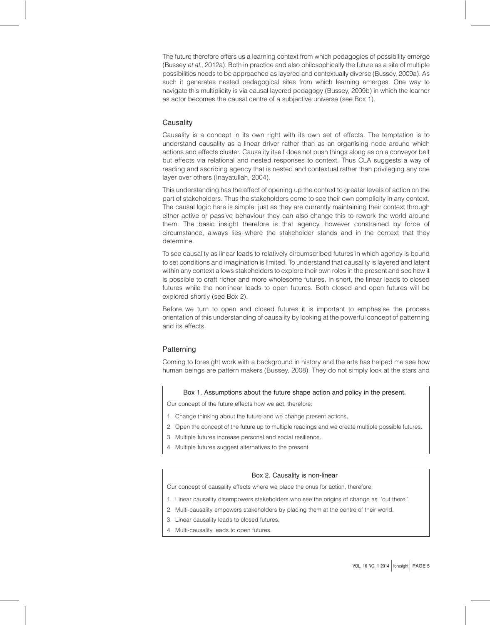The future therefore offers us a learning context from which pedagogies of possibility emerge (Bussey et al., 2012a). Both in practice and also philosophically the future as a site of multiple possibilities needs to be approached as layered and contextually diverse (Bussey, 2009a). As such it generates nested pedagogical sites from which learning emerges. One way to navigate this multiplicity is via causal layered pedagogy (Bussey, 2009b) in which the learner as actor becomes the causal centre of a subjective universe (see Box 1).

## **Causality**

Causality is a concept in its own right with its own set of effects. The temptation is to understand causality as a linear driver rather than as an organising node around which actions and effects cluster. Causality itself does not push things along as on a conveyor belt but effects via relational and nested responses to context. Thus CLA suggests a way of reading and ascribing agency that is nested and contextual rather than privileging any one layer over others (Inayatullah, 2004).

This understanding has the effect of opening up the context to greater levels of action on the part of stakeholders. Thus the stakeholders come to see their own complicity in any context. The causal logic here is simple: just as they are currently maintaining their context through either active or passive behaviour they can also change this to rework the world around them. The basic insight therefore is that agency, however constrained by force of circumstance, always lies where the stakeholder stands and in the context that they determine.

To see causality as linear leads to relatively circumscribed futures in which agency is bound to set conditions and imagination is limited. To understand that causality is layered and latent within any context allows stakeholders to explore their own roles in the present and see how it is possible to craft richer and more wholesome futures. In short, the linear leads to closed futures while the nonlinear leads to open futures. Both closed and open futures will be explored shortly (see Box 2).

Before we turn to open and closed futures it is important to emphasise the process orientation of this understanding of causality by looking at the powerful concept of patterning and its effects.

### Patterning

Coming to foresight work with a background in history and the arts has helped me see how human beings are pattern makers (Bussey, 2008). They do not simply look at the stars and

### Box 1. Assumptions about the future shape action and policy in the present.

Our concept of the future effects how we act, therefore:

- 1. Change thinking about the future and we change present actions.
- 2. Open the concept of the future up to multiple readings and we create multiple possible futures.
- 3. Multiple futures increase personal and social resilience.
- 4. Multiple futures suggest alternatives to the present.

### Box 2. Causality is non-linear

Our concept of causality effects where we place the onus for action, therefore:

- 1. Linear causality disempowers stakeholders who see the origins of change as ''out there''.
- 2. Multi-causality empowers stakeholders by placing them at the centre of their world.
- 3. Linear causality leads to closed futures.
- 4. Multi-causality leads to open futures.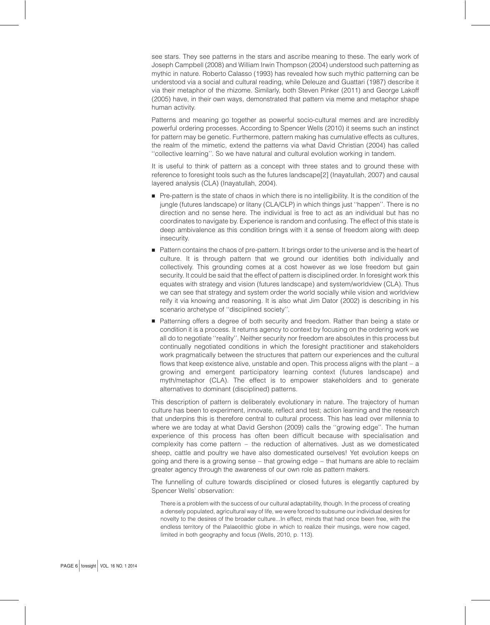see stars. They see patterns in the stars and ascribe meaning to these. The early work of Joseph Campbell (2008) and William Irwin Thompson (2004) understood such patterning as mythic in nature. Roberto Calasso (1993) has revealed how such mythic patterning can be understood via a social and cultural reading, while Deleuze and Guattari (1987) describe it via their metaphor of the rhizome. Similarly, both Steven Pinker (2011) and George Lakoff (2005) have, in their own ways, demonstrated that pattern via meme and metaphor shape human activity.

Patterns and meaning go together as powerful socio-cultural memes and are incredibly powerful ordering processes. According to Spencer Wells (2010) it seems such an instinct for pattern may be genetic. Furthermore, pattern making has cumulative effects as cultures, the realm of the mimetic, extend the patterns via what David Christian (2004) has called ''collective learning''. So we have natural and cultural evolution working in tandem.

It is useful to think of pattern as a concept with three states and to ground these with reference to foresight tools such as the futures landscape[2] (Inayatullah, 2007) and causal layered analysis (CLA) (Inayatullah, 2004).

- **Pre-pattern is the state of chaos in which there is no intelligibility. It is the condition of the** jungle (futures landscape) or litany (CLA/CLP) in which things just ''happen''. There is no direction and no sense here. The individual is free to act as an individual but has no coordinates to navigate by. Experience is random and confusing. The effect of this state is deep ambivalence as this condition brings with it a sense of freedom along with deep insecurity.
- **Pattern contains the chaos of pre-pattern. It brings order to the universe and is the heart of** culture. It is through pattern that we ground our identities both individually and collectively. This grounding comes at a cost however as we lose freedom but gain security. It could be said that the effect of pattern is disciplined order. In foresight work this equates with strategy and vision (futures landscape) and system/worldview (CLA). Thus we can see that strategy and system order the world socially while vision and worldview reify it via knowing and reasoning. It is also what Jim Dator (2002) is describing in his scenario archetype of ''disciplined society''.
- **Patterning offers a degree of both security and freedom. Rather than being a state or** condition it is a process. It returns agency to context by focusing on the ordering work we all do to negotiate ''reality''. Neither security nor freedom are absolutes in this process but continually negotiated conditions in which the foresight practitioner and stakeholders work pragmatically between the structures that pattern our experiences and the cultural flows that keep existence alive, unstable and open. This process aligns with the plant – a growing and emergent participatory learning context (futures landscape) and myth/metaphor (CLA). The effect is to empower stakeholders and to generate alternatives to dominant (disciplined) patterns.

This description of pattern is deliberately evolutionary in nature. The trajectory of human culture has been to experiment, innovate, reflect and test; action learning and the research that underpins this is therefore central to cultural process. This has lead over millennia to where we are today at what David Gershon (2009) calls the ''growing edge''. The human experience of this process has often been difficult because with specialisation and complexity has come pattern – the reduction of alternatives. Just as we domesticated sheep, cattle and poultry we have also domesticated ourselves! Yet evolution keeps on going and there is a growing sense – that growing edge – that humans are able to reclaim greater agency through the awareness of our own role as pattern makers.

The funnelling of culture towards disciplined or closed futures is elegantly captured by Spencer Wells' observation:

There is a problem with the success of our cultural adaptability, though. In the process of creating a densely populated, agricultural way of life, we were forced to subsume our individual desires for novelty to the desires of the broader culture...In effect, minds that had once been free, with the endless territory of the Palaeolithic globe in which to realize their musings, were now caged, limited in both geography and focus (Wells, 2010, p. 113).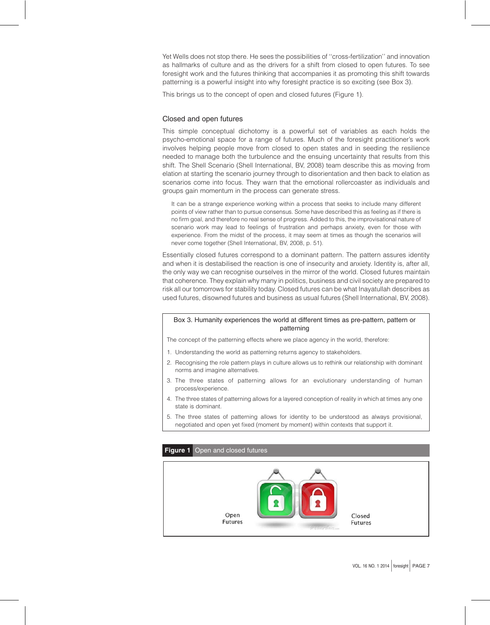Yet Wells does not stop there. He sees the possibilities of ''cross-fertilization'' and innovation as hallmarks of culture and as the drivers for a shift from closed to open futures. To see foresight work and the futures thinking that accompanies it as promoting this shift towards patterning is a powerful insight into why foresight practice is so exciting (see Box 3).

This brings us to the concept of open and closed futures (Figure 1).

### Closed and open futures

This simple conceptual dichotomy is a powerful set of variables as each holds the psycho-emotional space for a range of futures. Much of the foresight practitioner's work involves helping people move from closed to open states and in seeding the resilience needed to manage both the turbulence and the ensuing uncertainty that results from this shift. The Shell Scenario (Shell International, BV, 2008) team describe this as moving from elation at starting the scenario journey through to disorientation and then back to elation as scenarios come into focus. They warn that the emotional rollercoaster as individuals and groups gain momentum in the process can generate stress.

It can be a strange experience working within a process that seeks to include many different points of view rather than to pursue consensus. Some have described this as feeling as if there is no firm goal, and therefore no real sense of progress. Added to this, the improvisational nature of scenario work may lead to feelings of frustration and perhaps anxiety, even for those with experience. From the midst of the process, it may seem at times as though the scenarios will never come together (Shell International, BV, 2008, p. 51).

Essentially closed futures correspond to a dominant pattern. The pattern assures identity and when it is destabilised the reaction is one of insecurity and anxiety. Identity is, after all, the only way we can recognise ourselves in the mirror of the world. Closed futures maintain that coherence. They explain why many in politics, business and civil society are prepared to risk all our tomorrows for stability today. Closed futures can be what Inayatullah describes as used futures, disowned futures and business as usual futures (Shell International, BV, 2008).

## Box 3. Humanity experiences the world at different times as pre-pattern, pattern or patterning

The concept of the patterning effects where we place agency in the world, therefore:

- 1. Understanding the world as patterning returns agency to stakeholders.
- 2. Recognising the role pattern plays in culture allows us to rethink our relationship with dominant norms and imagine alternatives.
- 3. The three states of patterning allows for an evolutionary understanding of human process/experience.
- 4. The three states of patterning allows for a layered conception of reality in which at times any one state is dominant.
- 5. The three states of patterning allows for identity to be understood as always provisional, negotiated and open yet fixed (moment by moment) within contexts that support it.

# Figure 1 Open and closed futures Open Closed **Futures Futures**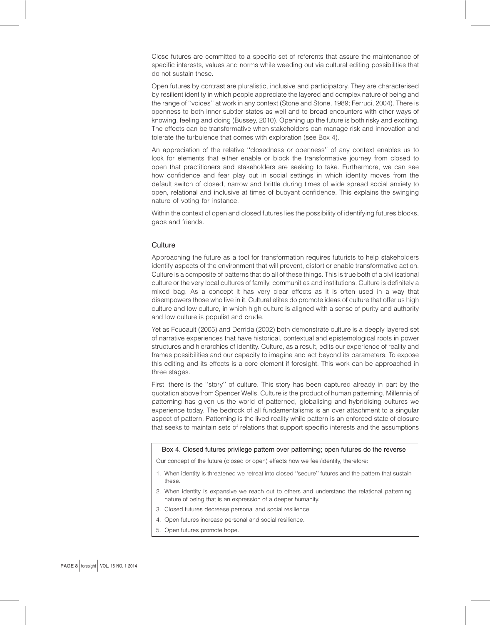Close futures are committed to a specific set of referents that assure the maintenance of specific interests, values and norms while weeding out via cultural editing possibilities that do not sustain these.

Open futures by contrast are pluralistic, inclusive and participatory. They are characterised by resilient identity in which people appreciate the layered and complex nature of being and the range of ''voices'' at work in any context (Stone and Stone, 1989; Ferruci, 2004). There is openness to both inner subtler states as well and to broad encounters with other ways of knowing, feeling and doing (Bussey, 2010). Opening up the future is both risky and exciting. The effects can be transformative when stakeholders can manage risk and innovation and tolerate the turbulence that comes with exploration (see Box 4).

An appreciation of the relative ''closedness or openness'' of any context enables us to look for elements that either enable or block the transformative journey from closed to open that practitioners and stakeholders are seeking to take. Furthermore, we can see how confidence and fear play out in social settings in which identity moves from the default switch of closed, narrow and brittle during times of wide spread social anxiety to open, relational and inclusive at times of buoyant confidence. This explains the swinging nature of voting for instance.

Within the context of open and closed futures lies the possibility of identifying futures blocks, gaps and friends.

### **Culture**

Approaching the future as a tool for transformation requires futurists to help stakeholders identify aspects of the environment that will prevent, distort or enable transformative action. Culture is a composite of patterns that do all of these things. This is true both of a civilisational culture or the very local cultures of family, communities and institutions. Culture is definitely a mixed bag. As a concept it has very clear effects as it is often used in a way that disempowers those who live in it. Cultural elites do promote ideas of culture that offer us high culture and low culture, in which high culture is aligned with a sense of purity and authority and low culture is populist and crude.

Yet as Foucault (2005) and Derrida (2002) both demonstrate culture is a deeply layered set of narrative experiences that have historical, contextual and epistemological roots in power structures and hierarchies of identity. Culture, as a result, edits our experience of reality and frames possibilities and our capacity to imagine and act beyond its parameters. To expose this editing and its effects is a core element if foresight. This work can be approached in three stages.

First, there is the ''story'' of culture. This story has been captured already in part by the quotation above from Spencer Wells. Culture is the product of human patterning. Millennia of patterning has given us the world of patterned, globalising and hybridising cultures we experience today. The bedrock of all fundamentalisms is an over attachment to a singular aspect of pattern. Patterning is the lived reality while pattern is an enforced state of closure that seeks to maintain sets of relations that support specific interests and the assumptions

### Box 4. Closed futures privilege pattern over patterning; open futures do the reverse

Our concept of the future (closed or open) effects how we feel/identify, therefore:

- 1. When identity is threatened we retreat into closed ''secure'' futures and the pattern that sustain these.
- 2. When identity is expansive we reach out to others and understand the relational patterning nature of being that is an expression of a deeper humanity.
- 3. Closed futures decrease personal and social resilience.
- 4. Open futures increase personal and social resilience.
- 5. Open futures promote hope.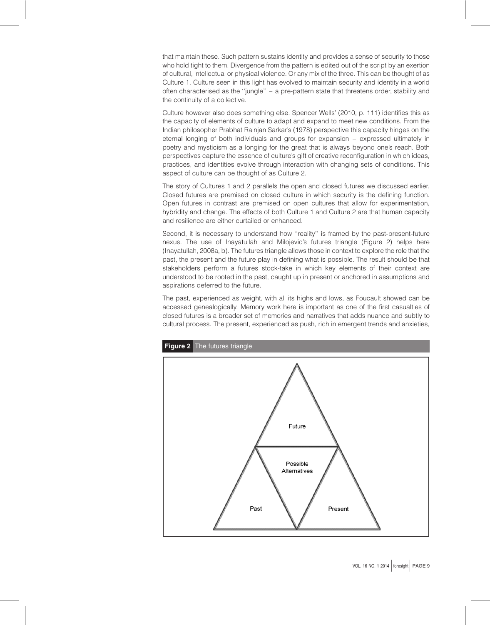that maintain these. Such pattern sustains identity and provides a sense of security to those who hold tight to them. Divergence from the pattern is edited out of the script by an exertion of cultural, intellectual or physical violence. Or any mix of the three. This can be thought of as Culture 1. Culture seen in this light has evolved to maintain security and identity in a world often characterised as the ''jungle'' – a pre-pattern state that threatens order, stability and the continuity of a collective.

Culture however also does something else. Spencer Wells' (2010, p. 111) identifies this as the capacity of elements of culture to adapt and expand to meet new conditions. From the Indian philosopher Prabhat Rainjan Sarkar's (1978) perspective this capacity hinges on the eternal longing of both individuals and groups for expansion – expressed ultimately in poetry and mysticism as a longing for the great that is always beyond one's reach. Both perspectives capture the essence of culture's gift of creative reconfiguration in which ideas, practices, and identities evolve through interaction with changing sets of conditions. This aspect of culture can be thought of as Culture 2.

The story of Cultures 1 and 2 parallels the open and closed futures we discussed earlier. Closed futures are premised on closed culture in which security is the defining function. Open futures in contrast are premised on open cultures that allow for experimentation, hybridity and change. The effects of both Culture 1 and Culture 2 are that human capacity and resilience are either curtailed or enhanced.

Second, it is necessary to understand how ''reality'' is framed by the past-present-future nexus. The use of Inayatullah and Milojevic's futures triangle (Figure 2) helps here (Inayatullah, 2008a, b). The futures triangle allows those in context to explore the role that the past, the present and the future play in defining what is possible. The result should be that stakeholders perform a futures stock-take in which key elements of their context are understood to be rooted in the past, caught up in present or anchored in assumptions and aspirations deferred to the future.

The past, experienced as weight, with all its highs and lows, as Foucault showed can be accessed genealogically. Memory work here is important as one of the first casualties of closed futures is a broader set of memories and narratives that adds nuance and subtly to cultural process. The present, experienced as push, rich in emergent trends and anxieties,

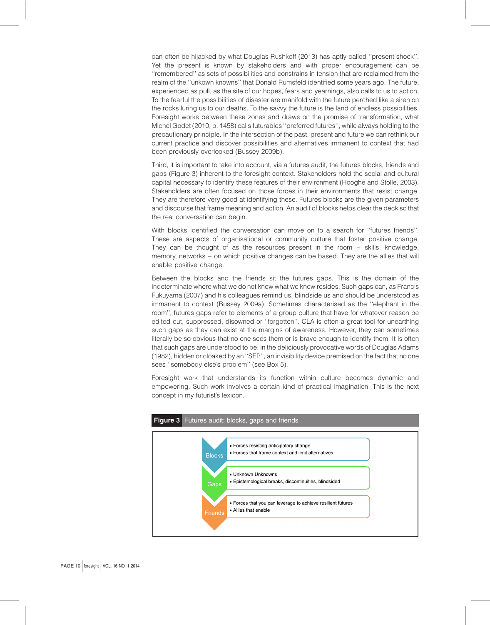can often be hijacked by what Douglas Rushkoff (2013) has aptly called ''present shock''. Yet the present is known by stakeholders and with proper encouragement can be ''remembered'' as sets of possibilities and constrains in tension that are reclaimed from the realm of the ''unkown knowns'' that Donald Rumsfeld identified some years ago. The future, experienced as pull, as the site of our hopes, fears and yearnings, also calls to us to action. To the fearful the possibilities of disaster are manifold with the future perched like a siren on the rocks luring us to our deaths. To the savvy the future is the land of endless possibilities. Foresight works between these zones and draws on the promise of transformation, what Michel Godet (2010, p. 1458) calls futurables ''preferred futures'', while always holding to the precautionary principle. In the intersection of the past, present and future we can rethink our current practice and discover possibilities and alternatives immanent to context that had been previously overlooked (Bussey 2009b).

Third, it is important to take into account, via a futures audit, the futures blocks, friends and gaps (Figure 3) inherent to the foresight context. Stakeholders hold the social and cultural capital necessary to identify these features of their environment (Hooghe and Stolle, 2003). Stakeholders are often focused on those forces in their environments that resist change. They are therefore very good at identifying these. Futures blocks are the given parameters and discourse that frame meaning and action. An audit of blocks helps clear the deck so that the real conversation can begin.

With blocks identified the conversation can move on to a search for ''futures friends''. These are aspects of organisational or community culture that foster positive change. They can be thought of as the resources present in the room – skills, knowledge, memory, networks – on which positive changes can be based. They are the allies that will enable positive change.

Between the blocks and the friends sit the futures gaps. This is the domain of the indeterminate where what we do not know what we know resides. Such gaps can, as Francis Fukuyama (2007) and his colleagues remind us, blindside us and should be understood as immanent to context (Bussey 2009a). Sometimes characterised as the ''elephant in the room'', futures gaps refer to elements of a group culture that have for whatever reason be edited out, suppressed, disowned or ''forgotten''. CLA is often a great tool for unearthing such gaps as they can exist at the margins of awareness. However, they can sometimes literally be so obvious that no one sees them or is brave enough to identify them. It is often that such gaps are understood to be, in the deliciously provocative words of Douglas Adams (1982), hidden or cloaked by an ''SEP'', an invisibility device premised on the fact that no one sees ''somebody else's problem'' (see Box 5).

Foresight work that understands its function within culture becomes dynamic and empowering. Such work involves a certain kind of practical imagination. This is the next concept in my futurist's lexicon.

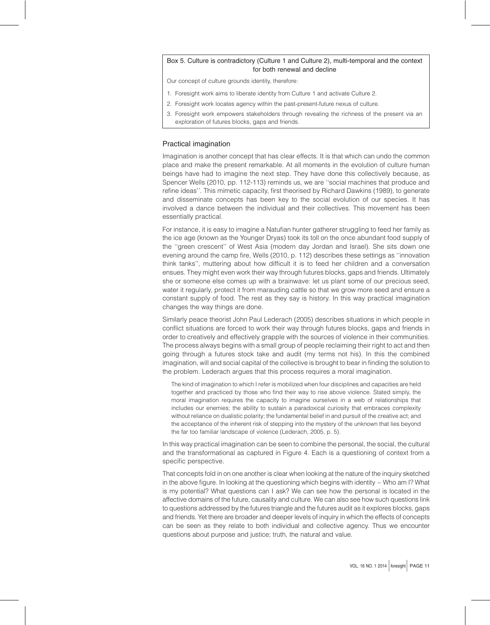### Box 5. Culture is contradictory (Culture 1 and Culture 2), multi-temporal and the context for both renewal and decline

Our concept of culture grounds identity, therefore:

- 1. Foresight work aims to liberate identity from Culture 1 and activate Culture 2.
- 2. Foresight work locates agency within the past-present-future nexus of culture.
- 3. Foresight work empowers stakeholders through revealing the richness of the present via an exploration of futures blocks, gaps and friends.

# Practical imagination

Imagination is another concept that has clear effects. It is that which can undo the common place and make the present remarkable. At all moments in the evolution of culture human beings have had to imagine the next step. They have done this collectively because, as Spencer Wells (2010, pp. 112-113) reminds us, we are ''social machines that produce and refine ideas''. This mimetic capacity, first theorised by Richard Dawkins (1989), to generate and disseminate concepts has been key to the social evolution of our species. It has involved a dance between the individual and their collectives. This movement has been essentially practical.

For instance, it is easy to imagine a Natufian hunter gatherer struggling to feed her family as the ice age (known as the Younger Dryas) took its toll on the once abundant food supply of the ''green crescent'' of West Asia (modern day Jordan and Israel). She sits down one evening around the camp fire, Wells (2010, p. 112) describes these settings as ''innovation think tanks'', muttering about how difficult it is to feed her children and a conversation ensues. They might even work their way through futures blocks, gaps and friends. Ultimately she or someone else comes up with a brainwave: let us plant some of our precious seed, water it regularly, protect it from marauding cattle so that we grow more seed and ensure a constant supply of food. The rest as they say is history. In this way practical imagination changes the way things are done.

Similarly peace theorist John Paul Lederach (2005) describes situations in which people in conflict situations are forced to work their way through futures blocks, gaps and friends in order to creatively and effectively grapple with the sources of violence in their communities. The process always begins with a small group of people reclaiming their right to act and then going through a futures stock take and audit (my terms not his). In this the combined imagination, will and social capital of the collective is brought to bear in finding the solution to the problem. Lederach argues that this process requires a moral imagination.

The kind of imagination to which I refer is mobilized when four disciplines and capacities are held together and practiced by those who find their way to rise above violence. Stated simply, the moral imagination requires the capacity to imagine ourselves in a web of relationships that includes our enemies; the ability to sustain a paradoxical curiosity that embraces complexity without reliance on dualistic polarity; the fundamental belief in and pursuit of the creative act; and the acceptance of the inherent risk of stepping into the mystery of the unknown that lies beyond the far too familiar landscape of violence (Lederach, 2005, p. 5).

In this way practical imagination can be seen to combine the personal, the social, the cultural and the transformational as captured in Figure 4. Each is a questioning of context from a specific perspective.

That concepts fold in on one another is clear when looking at the nature of the inquiry sketched in the above figure. In looking at the questioning which begins with identity – Who am I? What is my potential? What questions can I ask? We can see how the personal is located in the affective domains of the future, causality and culture. We can also see how such questions link to questions addressed by the futures triangle and the futures audit as it explores blocks, gaps and friends. Yet there are broader and deeper levels of inquiry in which the effects of concepts can be seen as they relate to both individual and collective agency. Thus we encounter questions about purpose and justice; truth, the natural and value.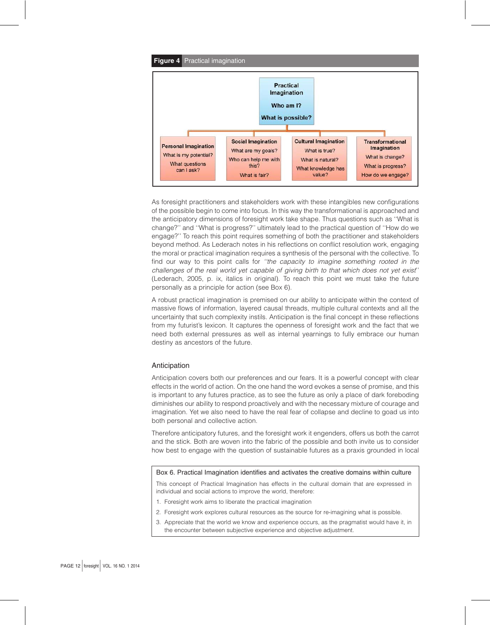

As foresight practitioners and stakeholders work with these intangibles new configurations of the possible begin to come into focus. In this way the transformational is approached and the anticipatory dimensions of foresight work take shape. Thus questions such as ''What is change?'' and ''What is progress?'' ultimately lead to the practical question of ''How do we engage?'' To reach this point requires something of both the practitioner and stakeholders beyond method. As Lederach notes in his reflections on conflict resolution work, engaging the moral or practical imagination requires a synthesis of the personal with the collective. To find our way to this point calls for "the capacity to imagine something rooted in the challenges of the real world yet capable of giving birth to that which does not yet exist'' (Lederach, 2005, p. ix, italics in original). To reach this point we must take the future personally as a principle for action (see Box 6).

A robust practical imagination is premised on our ability to anticipate within the context of massive flows of information, layered causal threads, multiple cultural contexts and all the uncertainty that such complexity instils. Anticipation is the final concept in these reflections from my futurist's lexicon. It captures the openness of foresight work and the fact that we need both external pressures as well as internal yearnings to fully embrace our human destiny as ancestors of the future.

# Anticipation

Anticipation covers both our preferences and our fears. It is a powerful concept with clear effects in the world of action. On the one hand the word evokes a sense of promise, and this is important to any futures practice, as to see the future as only a place of dark foreboding diminishes our ability to respond proactively and with the necessary mixture of courage and imagination. Yet we also need to have the real fear of collapse and decline to goad us into both personal and collective action.

Therefore anticipatory futures, and the foresight work it engenders, offers us both the carrot and the stick. Both are woven into the fabric of the possible and both invite us to consider how best to engage with the question of sustainable futures as a praxis grounded in local

### Box 6. Practical Imagination identifies and activates the creative domains within culture

This concept of Practical Imagination has effects in the cultural domain that are expressed in individual and social actions to improve the world, therefore:

- 1. Foresight work aims to liberate the practical imagination
- 2. Foresight work explores cultural resources as the source for re-imagining what is possible.
- 3. Appreciate that the world we know and experience occurs, as the pragmatist would have it, in the encounter between subjective experience and objective adjustment.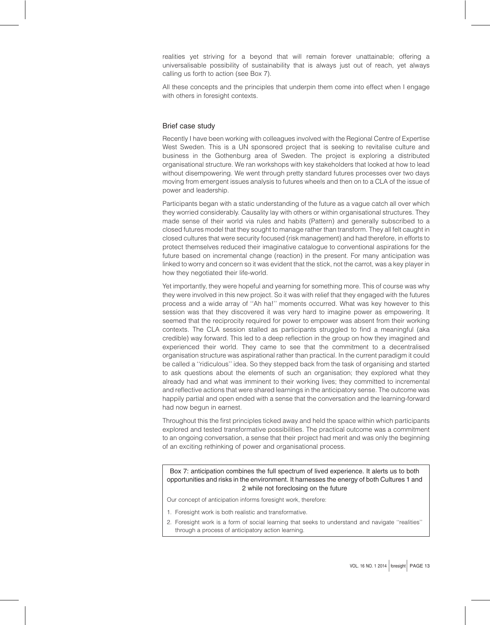realities yet striving for a beyond that will remain forever unattainable; offering a universalisable possibility of sustainability that is always just out of reach, yet always calling us forth to action (see Box 7).

All these concepts and the principles that underpin them come into effect when I engage with others in foresight contexts.

### Brief case study

Recently I have been working with colleagues involved with the Regional Centre of Expertise West Sweden. This is a UN sponsored project that is seeking to revitalise culture and business in the Gothenburg area of Sweden. The project is exploring a distributed organisational structure. We ran workshops with key stakeholders that looked at how to lead without disempowering. We went through pretty standard futures processes over two days moving from emergent issues analysis to futures wheels and then on to a CLA of the issue of power and leadership.

Participants began with a static understanding of the future as a vague catch all over which they worried considerably. Causality lay with others or within organisational structures. They made sense of their world via rules and habits (Pattern) and generally subscribed to a closed futures model that they sought to manage rather than transform. They all felt caught in closed cultures that were security focused (risk management) and had therefore, in efforts to protect themselves reduced their imaginative catalogue to conventional aspirations for the future based on incremental change (reaction) in the present. For many anticipation was linked to worry and concern so it was evident that the stick, not the carrot, was a key player in how they negotiated their life-world.

Yet importantly, they were hopeful and yearning for something more. This of course was why they were involved in this new project. So it was with relief that they engaged with the futures process and a wide array of ''Ah ha!'' moments occurred. What was key however to this session was that they discovered it was very hard to imagine power as empowering. It seemed that the reciprocity required for power to empower was absent from their working contexts. The CLA session stalled as participants struggled to find a meaningful (aka credible) way forward. This led to a deep reflection in the group on how they imagined and experienced their world. They came to see that the commitment to a decentralised organisation structure was aspirational rather than practical. In the current paradigm it could be called a ''ridiculous'' idea. So they stepped back from the task of organising and started to ask questions about the elements of such an organisation; they explored what they already had and what was imminent to their working lives; they committed to incremental and reflective actions that were shared learnings in the anticipatory sense. The outcome was happily partial and open ended with a sense that the conversation and the learning-forward had now begun in earnest.

Throughout this the first principles ticked away and held the space within which participants explored and tested transformative possibilities. The practical outcome was a commitment to an ongoing conversation, a sense that their project had merit and was only the beginning of an exciting rethinking of power and organisational process.

Box 7: anticipation combines the full spectrum of lived experience. It alerts us to both opportunities and risks in the environment. It harnesses the energy of both Cultures 1 and 2 while not foreclosing on the future

Our concept of anticipation informs foresight work, therefore:

- 1. Foresight work is both realistic and transformative.
- 2. Foresight work is a form of social learning that seeks to understand and navigate ''realities'' through a process of anticipatory action learning.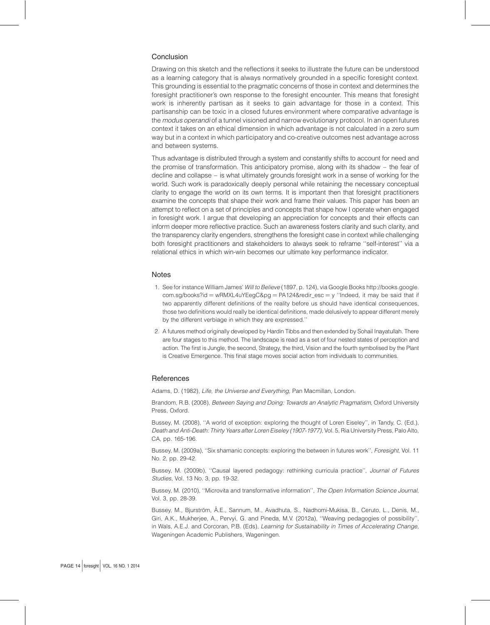# Conclusion

Drawing on this sketch and the reflections it seeks to illustrate the future can be understood as a learning category that is always normatively grounded in a specific foresight context. This grounding is essential to the pragmatic concerns of those in context and determines the foresight practitioner's own response to the foresight encounter. This means that foresight work is inherently partisan as it seeks to gain advantage for those in a context. This partisanship can be toxic in a closed futures environment where comparative advantage is the modus operandi of a tunnel visioned and narrow evolutionary protocol. In an open futures context it takes on an ethical dimension in which advantage is not calculated in a zero sum way but in a context in which participatory and co-creative outcomes nest advantage across and between systems.

Thus advantage is distributed through a system and constantly shifts to account for need and the promise of transformation. This anticipatory promise, along with its shadow – the fear of decline and collapse – is what ultimately grounds foresight work in a sense of working for the world. Such work is paradoxically deeply personal while retaining the necessary conceptual clarity to engage the world on its own terms. It is important then that foresight practitioners examine the concepts that shape their work and frame their values. This paper has been an attempt to reflect on a set of principles and concepts that shape how I operate when engaged in foresight work. I argue that developing an appreciation for concepts and their effects can inform deeper more reflective practice. Such an awareness fosters clarity and such clarity, and the transparency clarity engenders, strengthens the foresight case in context while challenging both foresight practitioners and stakeholders to always seek to reframe ''self-interest'' via a relational ethics in which win-win becomes our ultimate key performance indicator.

### Notes

- 1. See for instance William James' Will to Believe (1897, p. 124), via Google Books http://books.google. com.sg/books?id = wRMXL4uYEegC&pg =  $PA124&$ redir\_esc = y "Indeed, it may be said that if two apparently different definitions of the reality before us should have identical consequences, those two definitions would really be identical definitions, made delusively to appear different merely by the different verbiage in which they are expressed.''
- 2. A futures method originally developed by Hardin Tibbs and then extended by Sohail Inayatullah. There are four stages to this method. The landscape is read as a set of four nested states of perception and action. The first is Jungle, the second, Strategy, the third, Vision and the fourth symbolised by the Plant is Creative Emergence. This final stage moves social action from individuals to communities.

### **References**

Adams, D. (1982), Life, the Universe and Everything, Pan Macmillan, London.

Brandom, R.B. (2008), Between Saying and Doing: Towards an Analytic Pragmatism, Oxford University Press, Oxford.

Bussey, M. (2008), ''A world of exception: exploring the thought of Loren Eiseley'', in Tandy, C. (Ed.), Death and Anti-Death: Thirty Years after Loren Eiseley (1907-1977), Vol. 5, Ria University Press, Palo Alto, CA, pp. 165-196.

Bussey, M. (2009a), ''Six shamanic concepts: exploring the between in futures work'', Foresight, Vol. 11 No. 2, pp. 29-42.

Bussey, M. (2009b), ''Causal layered pedagogy: rethinking curricula practice'', Journal of Futures Studies, Vol. 13 No. 3, pp. 19-32.

Bussey, M. (2010), ''Microvita and transformative information'', The Open Information Science Journal, Vol. 3, pp. 28-39.

Bussey, M., Bjurström, Å.E., Sannum, M., Avadhuta, S., Nadhomi-Mukisa, B., Ceruto, L., Denis, M., Giri, A.K., Mukherjee, A., Pervyi, G. and Pineda, M.V. (2012a), ''Weaving pedagogies of possibility'', in Wals, A.E.J. and Corcoran, P.B. (Eds), Learning for Sustainability in Times of Accelerating Change, Wageningen Academic Publishers, Wageningen.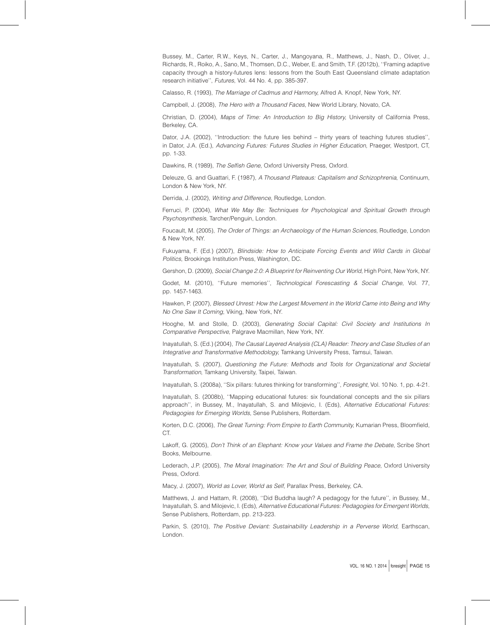Bussey, M., Carter, R.W., Keys, N., Carter, J., Mangoyana, R., Matthews, J., Nash, D., Oliver, J., Richards, R., Roiko, A., Sano, M., Thomsen, D.C., Weber, E. and Smith, T.F. (2012b), ''Framing adaptive capacity through a history-futures lens: lessons from the South East Queensland climate adaptation research initiative'', Futures, Vol. 44 No. 4, pp. 385-397.

Calasso, R. (1993), The Marriage of Cadmus and Harmony, Alfred A. Knopf, New York, NY.

Campbell, J. (2008), The Hero with a Thousand Faces, New World Library, Novato, CA.

Christian, D. (2004), Maps of Time: An Introduction to Big History, University of California Press, Berkeley, CA.

Dator, J.A. (2002), ''Introduction: the future lies behind – thirty years of teaching futures studies'', in Dator, J.A. (Ed.), Advancing Futures: Futures Studies in Higher Education, Praeger, Westport, CT, pp. 1-33.

Dawkins, R. (1989), The Selfish Gene, Oxford University Press, Oxford.

Deleuze, G. and Guattari, F. (1987), A Thousand Plateaus: Capitalism and Schizophrenia, Continuum, London & New York, NY.

Derrida, J. (2002), Writing and Difference, Routledge, London.

Ferruci, P. (2004), What We May Be: Techniques for Psychological and Spiritual Growth through Psychosynthesis, Tarcher/Penguin, London.

Foucault, M. (2005), The Order of Things: an Archaeology of the Human Sciences, Routledge, London & New York, NY.

Fukuyama, F. (Ed.) (2007), Blindside: How to Anticipate Forcing Events and Wild Cards in Global Politics, Brookings Institution Press, Washington, DC.

Gershon, D. (2009), Social Change 2.0: A Blueprint for Reinventing Our World, High Point, New York, NY.

Godet, M. (2010), "Future memories", Technological Forescasting & Social Change, Vol. 77, pp. 1457-1463.

Hawken, P. (2007), Blessed Unrest: How the Largest Movement in the World Came into Being and Why No One Saw It Coming, Viking, New York, NY.

Hooghe, M. and Stolle, D. (2003), Generating Social Capital: Civil Society and Institutions In Comparative Perspective, Palgrave Macmillan, New York, NY.

Inayatullah, S. (Ed.) (2004), The Causal Layered Analysis (CLA) Reader: Theory and Case Studies of an Integrative and Transformative Methodology, Tamkang University Press, Tamsui, Taiwan.

Inayatullah, S. (2007), Questioning the Future: Methods and Tools for Organizational and Societal Transformation, Tamkang University, Taipei, Taiwan.

Inayatullah, S. (2008a), ''Six pillars: futures thinking for transforming'', Foresight, Vol. 10 No. 1, pp. 4-21.

Inayatullah, S. (2008b), ''Mapping educational futures: six foundational concepts and the six pillars approach", in Bussey, M., Inayatullah, S. and Milojevic, I. (Eds), Alternative Educational Futures: Pedagogies for Emerging Worlds, Sense Publishers, Rotterdam.

Korten, D.C. (2006), The Great Turning: From Empire to Earth Community, Kumarian Press, Bloomfield, CT.

Lakoff, G. (2005), Don't Think of an Elephant: Know your Values and Frame the Debate, Scribe Short Books, Melbourne.

Lederach, J.P. (2005), The Moral Imagination: The Art and Soul of Building Peace, Oxford University Press, Oxford.

Macy, J. (2007), World as Lover, World as Self, Parallax Press, Berkeley, CA.

Matthews, J. and Hattam, R. (2008), ''Did Buddha laugh? A pedagogy for the future'', in Bussey, M., Inayatullah, S. and Milojevic, I. (Eds), Alternative Educational Futures: Pedagogies for Emergent Worlds, Sense Publishers, Rotterdam, pp. 213-223.

Parkin, S. (2010), The Positive Deviant: Sustainability Leadership in a Perverse World, Earthscan, London.